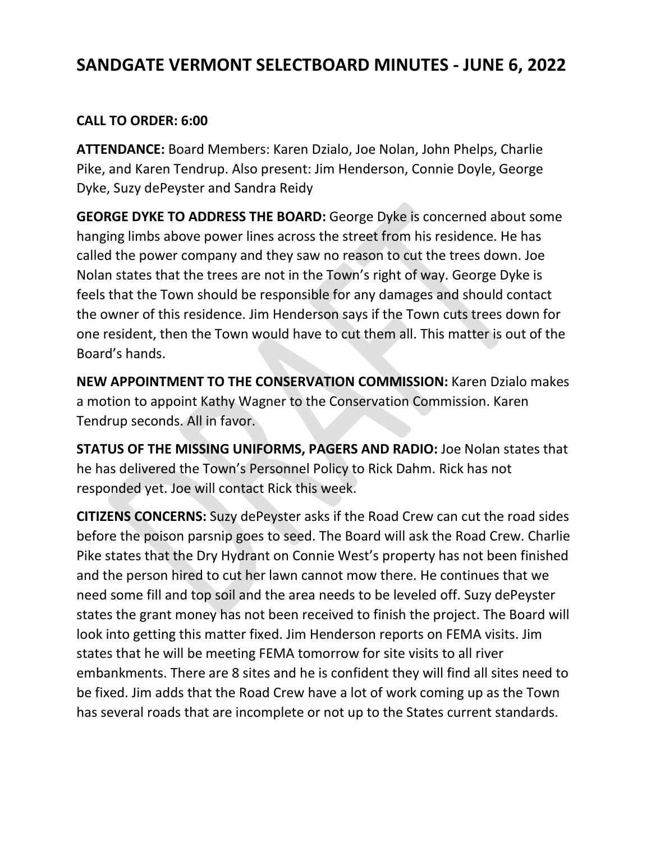## **SANDGATE VERMONT SELECTBOARD MINUTES - JUNE 6, 2022**

## **CALL TO ORDER: 6:00**

**ATTENDANCE:** Board Members: Karen Dzialo, Joe Nolan, John Phelps, Charlie Pike, and Karen Tendrup. Also present: Jim Henderson, Connie Doyle, George Dyke, Suzy dePeyster and Sandra Reidy

**GEORGE DYKE TO ADDRESS THE BOARD:** George Dyke is concerned about some hanging limbs above power lines across the street from his residence. He has called the power company and they saw no reason to cut the trees down. Joe Nolan states that the trees are not in the Town's right of way. George Dyke is feels that the Town should be responsible for any damages and should contact the owner of this residence. Jim Henderson says if the Town cuts trees down for one resident, then the Town would have to cut them all. This matter is out of the Board's hands.

**NEW APPOINTMENT TO THE CONSERVATION COMMISSION:** Karen Dzialo makes a motion to appoint Kathy Wagner to the Conservation Commission. Karen Tendrup seconds. All in favor.

**STATUS OF THE MISSING UNIFORMS, PAGERS AND RADIO:** Joe Nolan states that he has delivered the Town's Personnel Policy to Rick Dahm. Rick has not responded yet. Joe will contact Rick this week.

**CITIZENS CONCERNS:** Suzy dePeyster asks if the Road Crew can cut the road sides before the poison parsnip goes to seed. The Board will ask the Road Crew. Charlie Pike states that the Dry Hydrant on Connie West's property has not been finished and the person hired to cut her lawn cannot mow there. He continues that we need some fill and top soil and the area needs to be leveled off. Suzy dePeyster states the grant money has not been received to finish the project. The Board will look into getting this matter fixed. Jim Henderson reports on FEMA visits. Jim states that he will be meeting FEMA tomorrow for site visits to all river embankments. There are 8 sites and he is confident they will find all sites need to be fixed. Jim adds that the Road Crew have a lot of work coming up as the Town has several roads that are incomplete or not up to the States current standards.